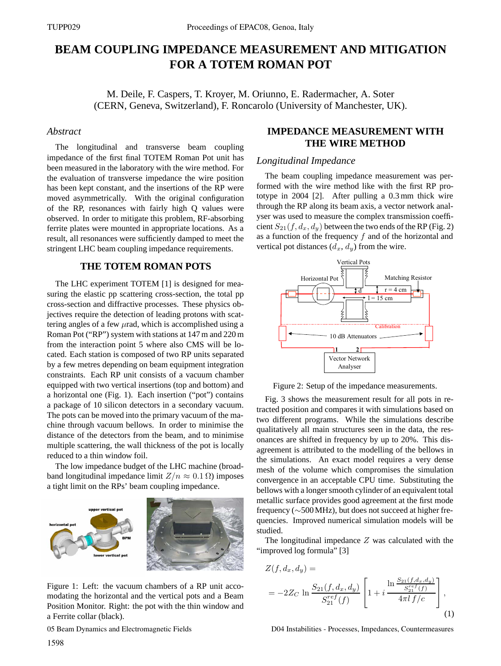# **BEAM COUPLING IMPEDANCE MEASUREMENT AND MITIGATION FOR A TOTEM ROMAN POT**

M. Deile, F. Caspers, T. Kroyer, M. Oriunno, E. Radermacher, A. Soter (CERN, Geneva, Switzerland), F. Roncarolo (University of Manchester, UK).

# *Abstract*

The longitudinal and transverse beam coupling impedance of the first final TOTEM Roman Pot unit has been measured in the laboratory with the wire method. For the evaluation of transverse impedance the wire position has been kept constant, and the insertions of the RP were moved asymmetrically. With the original configuration of the RP, resonances with fairly high Q values were observed. In order to mitigate this problem, RF-absorbing ferrite plates were mounted in appropriate locations. As a result, all resonances were sufficiently damped to meet the stringent LHC beam coupling impedance requirements.

# **THE TOTEM ROMAN POTS**

The LHC experiment TOTEM [1] is designed for measuring the elastic pp scattering cross-section, the total pp cross-section and diffractive processes. These physics objectives require the detection of leading protons with scattering angles of a few  $\mu$ rad, which is accomplished using a Roman Pot ("RP") system with stations at 147 m and 220 m from the interaction point 5 where also CMS will be located. Each station is composed of two RP units separated by a few metres depending on beam equipment integration constraints. Each RP unit consists of a vacuum chamber equipped with two vertical insertions (top and bottom) and a horizontal one (Fig. 1). Each insertion ("pot") contains a package of 10 silicon detectors in a secondary vacuum. The pots can be moved into the primary vacuum of the machine through vacuum bellows. In order to minimise the distance of the detectors from the beam, and to minimise multiple scattering, the wall thickness of the pot is locally reduced to a thin window foil.

The low impedance budget of the LHC machine (broadband longitudinal impedance limit  $Z/n \approx 0.1 \Omega$ ) imposes a tight limit on the RPs' beam coupling impedance.



Figure 1: Left: the vacuum chambers of a RP unit accomodating the horizontal and the vertical pots and a Beam Position Monitor. Right: the pot with the thin window and a Ferrite collar (black).

05 Beam Dynamics and Electromagnetic Fields

# **IMPEDANCE MEASUREMENT WITH THE WIRE METHOD**

#### *Longitudinal Impedance*

The beam coupling impedance measurement was performed with the wire method like with the first RP prototype in 2004 [2]. After pulling a 0.3 mm thick wire through the RP along its beam axis, a vector network analyser was used to measure the complex transmission coefficient  $S_{21}(f, d_x, d_y)$  between the two ends of the RP (Fig. 2) as a function of the frequency  $f$  and of the horizontal and vertical pot distances  $(d_x, d_y)$  from the wire.



Figure 2: Setup of the impedance measurements.

Fig. 3 shows the measurement result for all pots in retracted position and compares it with simulations based on two different programs. While the simulations describe qualitatively all main structures seen in the data, the resonances are shifted in frequency by up to 20%. This disagreement is attributed to the modelling of the bellows in the simulations. An exact model requires a very dense mesh of the volume which compromises the simulation convergence in an acceptable CPU time. Substituting the bellows with a longer smooth cylinder of an equivalent total metallic surface provides good agreement at the first mode frequency (∼500 MHz), but does not succeed at higher frequencies. Improved numerical simulation models will be studied.

The longitudinal impedance  $Z$  was calculated with the "improved log formula" [3]

$$
Z(f, d_x, d_y) =
$$
  
= -2Z<sub>C</sub> ln  $\frac{S_{21}(f, d_x, d_y)}{S_{21}^{ref}(f)}$   $\left[1 + i \frac{\ln \frac{S_{21}(f, d_x, d_y)}{S_{21}^{ref}(f)}}{4\pi l f/c}\right],$  (1)

D04 Instabilities - Processes, Impedances, Countermeasures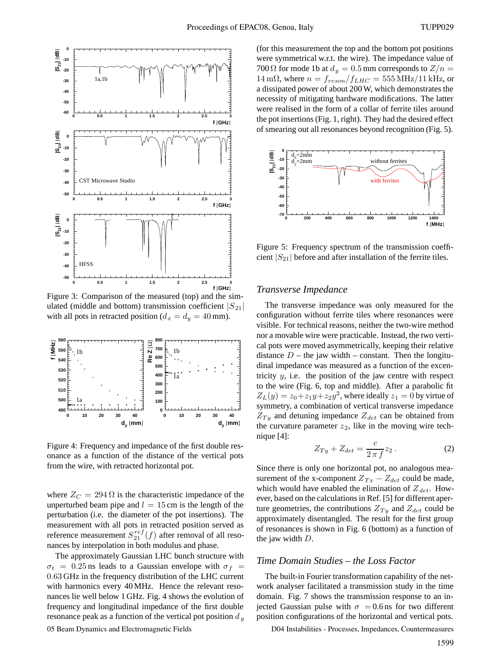

Figure 3: Comparison of the measured (top) and the simulated (middle and bottom) transmission coefficient  $|S_{21}|$ with all pots in retracted position ( $d_x = d_y = 40$  mm).



Figure 4: Frequency and impedance of the first double resonance as a function of the distance of the vertical pots from the wire, with retracted horizontal pot.

where  $Z_C = 294 \Omega$  is the characteristic impedance of the unperturbed beam pipe and  $l = 15$  cm is the length of the perturbation (i.e. the diameter of the pot insertions). The measurement with all pots in retracted position served as reference measurement  $S_{21}^{ref}(f)$  after removal of all resonances by interpolation in both modulus and phase.

The approximately Gaussian LHC bunch structure with  $\sigma_t$  = 0.25 ns leads to a Gaussian envelope with  $\sigma_f$  = 0.63 GHz in the frequency distribution of the LHC current with harmonics every 40 MHz. Hence the relevant resonances lie well below 1 GHz. Fig. 4 shows the evolution of frequency and longitudinal impedance of the first double resonance peak as a function of the vertical pot position  $d<sub>y</sub>$ 05 Beam Dynamics and Electromagnetic Fields D04 Instabilities - Processes, Impedances, Countermeasures

(for this measurement the top and the bottom pot positions were symmetrical w.r.t. the wire). The impedance value of 700  $\Omega$  for mode 1b at  $d_y = 0.5$  mm corresponds to  $Z/n =$  $14 \text{ m}\Omega$ , where  $n = f_{reson}/f_{LHC} = 555 \text{ MHz}/11 \text{ kHz}$ , or a dissipated power of about 200 W, which demonstrates the necessity of mitigating hardware modifications. The latter were realised in the form of a collar of ferrite tiles around the pot insertions (Fig. 1, right). They had the desired effect of smearing out all resonances beyond recognition (Fig. 5).



Figure 5: Frequency spectrum of the transmission coefficient  $|S_{21}|$  before and after installation of the ferrite tiles.

# *Transverse Impedance*

The transverse impedance was only measured for the configuration without ferrite tiles where resonances were visible. For technical reasons, neither the two-wire method nor a movable wire were practicable. Instead, the two vertical pots were moved asymmetrically, keeping their relative distance  $D$  – the jaw width – constant. Then the longitudinal impedance was measured as a function of the excentricity  $y$ , i.e. the position of the jaw centre with respect to the wire (Fig. 6, top and middle). After a parabolic fit  $Z_L(y) = z_0 + z_1y + z_2y^2$ , where ideally  $z_1 = 0$  by virtue of symmetry, a combination of vertical transverse impedance  $Z_{Ty}$  and detuning impedance  $Z_{det}$  can be obtained from the curvature parameter  $z_2$ , like in the moving wire technique [4]:

$$
Z_{Ty} + Z_{det} = \frac{c}{2 \pi f} z_2.
$$
 (2)

Since there is only one horizontal pot, no analogous measurement of the x-component  $Z_{Tx} - Z_{det}$  could be made, which would have enabled the elimination of  $Z_{det}$ . However, based on the calculations in Ref. [5] for different aperture geometries, the contributions  $Z_{T_u}$  and  $Z_{det}$  could be approximately disentangled. The result for the first group of resonances is shown in Fig. 6 (bottom) as a function of the jaw width D.

#### *Time Domain Studies – the Loss Factor*

The built-in Fourier transformation capability of the network analyser facilitated a transmission study in the time domain. Fig. 7 shows the transmission response to an injected Gaussian pulse with  $\sigma = 0.6$  ns for two different position configurations of the horizontal and vertical pots.